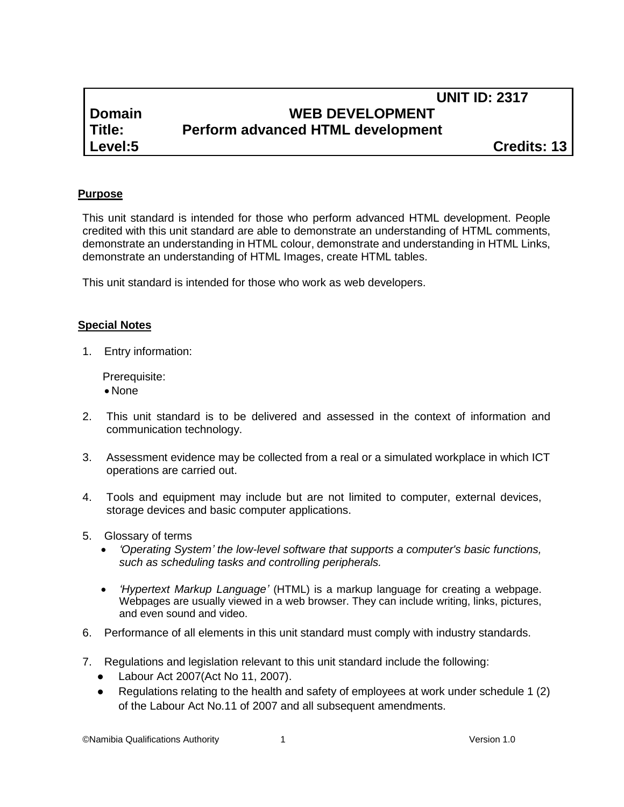# **UNIT ID: 2317 Domain WEB DEVELOPMENT Title: Perform advanced HTML development**

**Level:5 Credits: 13**

### **Purpose**

This unit standard is intended for those who perform advanced HTML development. People credited with this unit standard are able to demonstrate an understanding of HTML comments, demonstrate an understanding in HTML colour, demonstrate and understanding in HTML Links, demonstrate an understanding of HTML Images, create HTML tables.

This unit standard is intended for those who work as web developers.

#### **Special Notes**

1. Entry information:

Prerequisite:

- None
- 2. This unit standard is to be delivered and assessed in the context of information and communication technology.
- 3. Assessment evidence may be collected from a real or a simulated workplace in which ICT operations are carried out.
- 4. Tools and equipment may include but are not limited to computer, external devices, storage devices and basic computer applications.
- 5. Glossary of terms
	- *'Operating System' the low-level software that supports a computer's basic functions, such as scheduling tasks and controlling peripherals.*
	- *'Hypertext Markup Language'* (HTML) is a markup language for creating a webpage. Webpages are usually viewed in a web browser. They can include writing, links, pictures, and even sound and video.
- 6. Performance of all elements in this unit standard must comply with industry standards.
- 7. Regulations and legislation relevant to this unit standard include the following:
	- Labour Act 2007(Act No 11, 2007).
	- Regulations relating to the health and safety of employees at work under schedule 1 (2) of the Labour Act No.11 of 2007 and all subsequent amendments.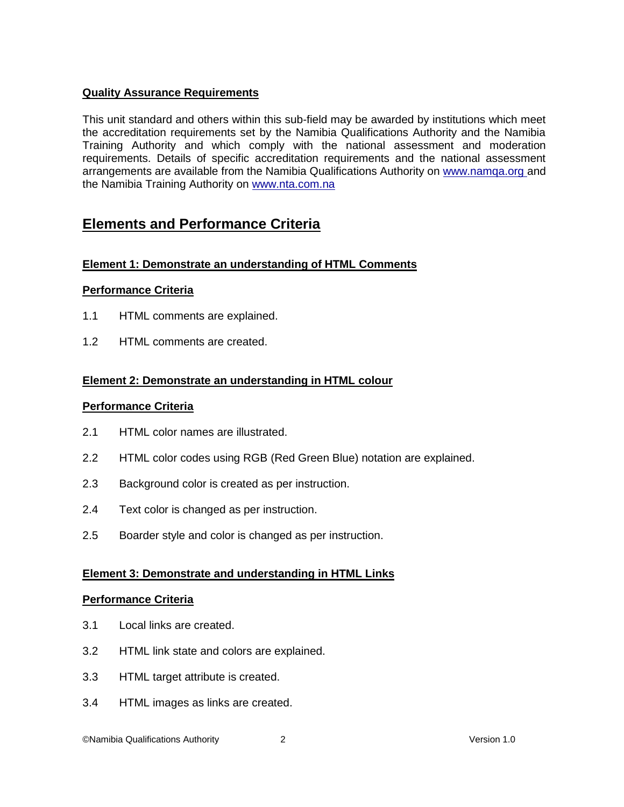## **Quality Assurance Requirements**

This unit standard and others within this sub-field may be awarded by institutions which meet the accreditation requirements set by the Namibia Qualifications Authority and the Namibia Training Authority and which comply with the national assessment and moderation requirements. Details of specific accreditation requirements and the national assessment arrangements are available from the Namibia Qualifications Authority on [www.namqa.org a](http://www.namqa.org/)nd the Namibia Training Authority on [www.nta.com.na](http://www.nta.com.na/)

# **Elements and Performance Criteria**

## **Element 1: Demonstrate an understanding of HTML Comments**

### **Performance Criteria**

- 1.1 HTML comments are explained.
- 1.2 HTML comments are created.

### **Element 2: Demonstrate an understanding in HTML colour**

### **Performance Criteria**

- 2.1 HTML color names are illustrated.
- 2.2 HTML color codes using RGB (Red Green Blue) notation are explained.
- 2.3 Background color is created as per instruction.
- 2.4 Text color is changed as per instruction.
- 2.5 Boarder style and color is changed as per instruction.

### **Element 3: Demonstrate and understanding in HTML Links**

### **Performance Criteria**

- 3.1 Local links are created.
- 3.2 HTML link state and colors are explained.
- 3.3 HTML target attribute is created.
- 3.4 HTML images as links are created.